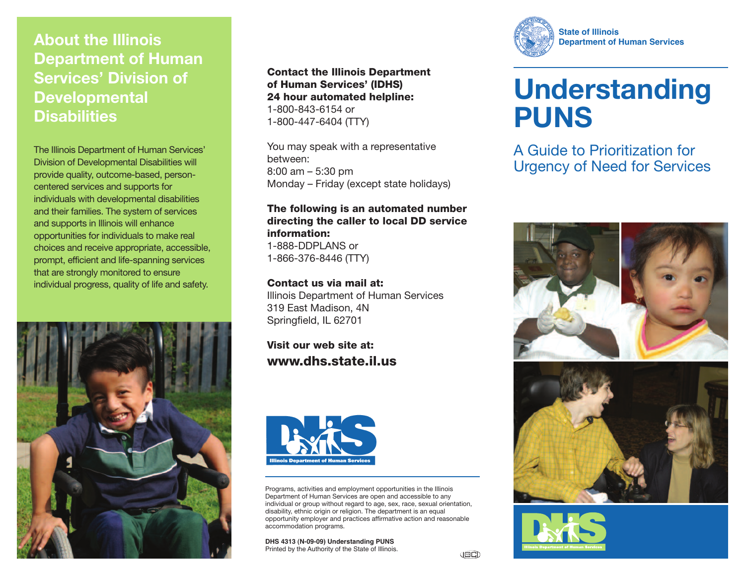## **About the Illinois Department of Human Services' Division of Developmental Disabilities**

The Illinois Department of Human Services' Division of Developmental Disabilities will provide quality, outcome-based, personcentered services and supports for individuals with developmental disabilities and their families. The system of services and supports in Illinois will enhance opportunities for individuals to make real choices and receive appropriate, accessible, prompt, efficient and life-spanning services that are strongly monitored to ensure individual progress, quality of life and safety.



**Contact the Illinois Department of Human Services' (IDHS) 24 hour automated helpline:** 1-800-843-6154 or 1-800-447-6404 (TTY)

You may speak with a representative between: 8:00 am – 5:30 pm Monday – Friday (except state holidays)

#### **The following is an automated number directing the caller to local DD service information:**

1-888-DDPLANS or 1-866-376-8446 (TTY)

#### **Contact us via mail at:**

Illinois Department of Human Services 319 East Madison, 4N Springfield, IL 62701

**Visit our web site at: www.dhs.state.il.us**



Programs, activities and employment opportunities in the Illinois Department of Human Services are open and accessible to any individual or group without regard to age, sex, race, sexual orientation, disability, ethnic origin or religion. The department is an equal opportunity employer and practices affirmative action and reasonable accommodation programs.

**DHS 4313 (N-09-09) Understanding PUNS** Printed by the Authority of the State of Illinois.



# **Understanding PUNS**

A Guide to Prioritization for Urgency of Need for Services